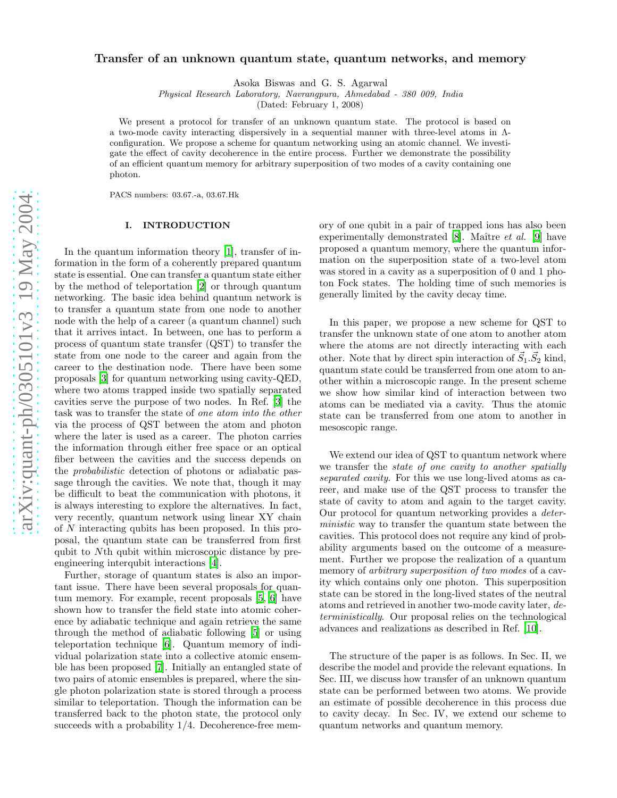# Transfer of an unknown quantum state, quantum networks, and memory

Asoka Biswas and G. S. Agarwal

Physical Research Laboratory, Navrangpura, Ahmedabad - 380 009, India

(Dated: February 1, 2008)

We present a protocol for transfer of an unknown quantum state. The protocol is based on a two-mode cavity interacting dispersively in a sequential manner with three-level atoms in Λconfiguration. We propose a scheme for quantum networking using an atomic channel. We investigate the effect of cavity decoherence in the entire process. Further we demonstrate the possibility of an efficient quantum memory for arbitrary superposition of two modes of a cavity containing one photon.

PACS numbers: 03.67.-a, 03.67.Hk

# I. INTRODUCTION

In the quantum information theory [\[1\]](#page-4-0), transfer of information in the form of a coherently prepared quantum state is essential. One can transfer a quantum state either by the method of teleportation [\[2\]](#page-4-1) or through quantum networking. The basic idea behind quantum network is to transfer a quantum state from one node to another node with the help of a career (a quantum channel) such that it arrives intact. In between, one has to perform a process of quantum state transfer (QST) to transfer the state from one node to the career and again from the career to the destination node. There have been some proposals [\[3\]](#page-4-2) for quantum networking using cavity-QED, where two atoms trapped inside two spatially separated cavities serve the purpose of two nodes. In Ref. [\[3\]](#page-4-2) the task was to transfer the state of one atom into the other via the process of QST between the atom and photon where the later is used as a career. The photon carries the information through either free space or an optical fiber between the cavities and the success depends on the probabilistic detection of photons or adiabatic passage through the cavities. We note that, though it may be difficult to beat the communication with photons, it is always interesting to explore the alternatives. In fact, very recently, quantum network using linear XY chain of N interacting qubits has been proposed. In this proposal, the quantum state can be transferred from first qubit to Nth qubit within microscopic distance by preengineering interqubit interactions [\[4\]](#page-4-3).

Further, storage of quantum states is also an important issue. There have been several proposals for quantum memory. For example, recent proposals [\[5](#page-4-4), [6\]](#page-4-5) have shown how to transfer the field state into atomic coherence by adiabatic technique and again retrieve the same through the method of adiabatic following [\[5\]](#page-4-4) or using teleportation technique [\[6](#page-4-5)]. Quantum memory of individual polarization state into a collective atomic ensemble has been proposed [\[7\]](#page-4-6). Initially an entangled state of two pairs of atomic ensembles is prepared, where the single photon polarization state is stored through a process similar to teleportation. Though the information can be transferred back to the photon state, the protocol only succeeds with a probability  $1/4$ . Decoherence-free mem-

ory of one qubit in a pair of trapped ions has also been experimentally demonstrated  $[8]$ . Maître *et al.*  $[9]$  have proposed a quantum memory, where the quantum information on the superposition state of a two-level atom was stored in a cavity as a superposition of 0 and 1 photon Fock states. The holding time of such memories is generally limited by the cavity decay time.

In this paper, we propose a new scheme for QST to transfer the unknown state of one atom to another atom where the atoms are not directly interacting with each other. Note that by direct spin interaction of  $\vec{S}_1 \cdot \vec{S}_2$  kind, quantum state could be transferred from one atom to another within a microscopic range. In the present scheme we show how similar kind of interaction between two atoms can be mediated via a cavity. Thus the atomic state can be transferred from one atom to another in mesoscopic range.

We extend our idea of QST to quantum network where we transfer the state of one cavity to another spatially separated cavity. For this we use long-lived atoms as career, and make use of the QST process to transfer the state of cavity to atom and again to the target cavity. Our protocol for quantum networking provides a deterministic way to transfer the quantum state between the cavities. This protocol does not require any kind of probability arguments based on the outcome of a measurement. Further we propose the realization of a quantum memory of *arbitrary superposition of two modes* of a cavity which contains only one photon. This superposition state can be stored in the long-lived states of the neutral atoms and retrieved in another two-mode cavity later, deterministically. Our proposal relies on the technological advances and realizations as described in Ref. [\[10\]](#page-4-9).

The structure of the paper is as follows. In Sec. II, we describe the model and provide the relevant equations. In Sec. III, we discuss how transfer of an unknown quantum state can be performed between two atoms. We provide an estimate of possible decoherence in this process due to cavity decay. In Sec. IV, we extend our scheme to quantum networks and quantum memory.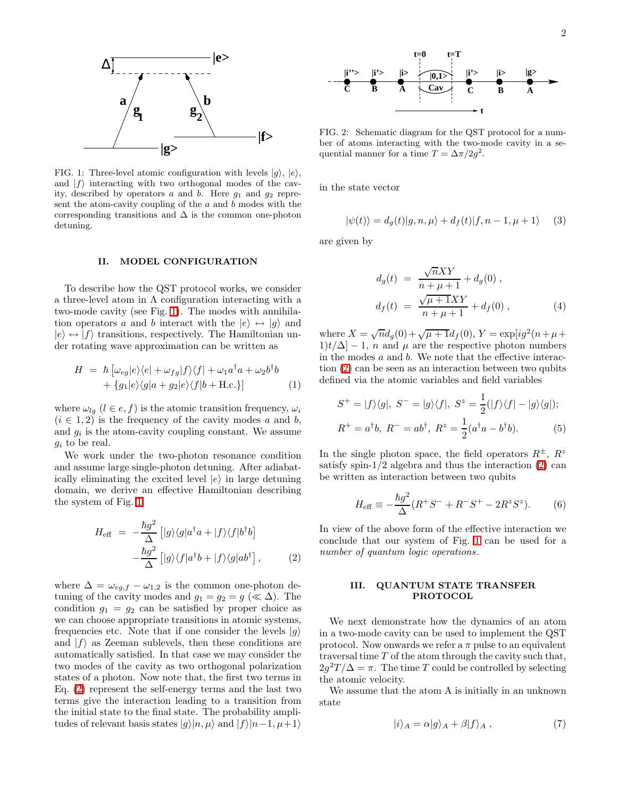

<span id="page-1-0"></span>FIG. 1: Three-level atomic configuration with levels  $|g\rangle, |e\rangle,$ and  $|f\rangle$  interacting with two orthogonal modes of the cavity, described by operators  $a$  and  $b$ . Here  $g_1$  and  $g_2$  represent the atom-cavity coupling of the  $a$  and  $b$  modes with the corresponding transitions and  $\Delta$  is the common one-photon detuning.

# II. MODEL CONFIGURATION

To describe how the QST protocol works, we consider a three-level atom in  $\Lambda$  configuration interacting with a two-mode cavity (see Fig. [1\)](#page-1-0). The modes with annihilation operators a and b interact with the  $|e\rangle \leftrightarrow |q\rangle$  and  $|e\rangle \leftrightarrow |f\rangle$  transitions, respectively. The Hamiltonian under rotating wave approximation can be written as

$$
H = \hbar \left[ \omega_{eg} |e\rangle\langle e| + \omega_{fg} |f\rangle\langle f| + \omega_1 a^\dagger a + \omega_2 b^\dagger b + \{g_1 |e\rangle\langle g|a + g_2 |e\rangle\langle f|b + \text{H.c.}\}\right]
$$
(1)

where  $\omega_{lg}$   $(l \in e, f)$  is the atomic transition frequency,  $\omega_i$  $(i \in 1, 2)$  is the frequency of the cavity modes a and b, and  $g_i$  is the atom-cavity coupling constant. We assume  $g_i$  to be real.

We work under the two-photon resonance condition and assume large single-photon detuning. After adiabatically eliminating the excited level  $|e\rangle$  in large detuning domain, we derive an effective Hamiltonian describing the system of Fig. [1](#page-1-0)

$$
H_{\text{eff}} = -\frac{\hbar g^2}{\Delta} \left[ |g\rangle\langle g|a^\dagger a + |f\rangle\langle f|b^\dagger b \right] -\frac{\hbar g^2}{\Delta} \left[ |g\rangle\langle f|a^\dagger b + |f\rangle\langle g|ab^\dagger \right],
$$
 (2)

<span id="page-1-1"></span>where  $\Delta = \omega_{eg,f} - \omega_{1,2}$  is the common one-photon detuning of the cavity modes and  $g_1 = g_2 = g \ll \Delta$ ). The condition  $g_1 = g_2$  can be satisfied by proper choice as we can choose appropriate transitions in atomic systems, frequencies etc. Note that if one consider the levels  $|g\rangle$ and  $|f\rangle$  as Zeeman sublevels, then these conditions are automatically satisfied. In that case we may consider the two modes of the cavity as two orthogonal polarization states of a photon. Now note that, the first two terms in Eq. [\(2\)](#page-1-1) represent the self-energy terms and the last two terms give the interaction leading to a transition from the initial state to the final state. The probability amplitudes of relevant basis states  $|g\rangle|n, \mu\rangle$  and  $|f\rangle|n-1, \mu+1\rangle$ 



<span id="page-1-2"></span>FIG. 2: Schematic diagram for the QST protocol for a number of atoms interacting with the two-mode cavity in a sequential manner for a time  $T = \Delta \pi / 2g^2$ .

in the state vector

$$
|\psi(t)\rangle = d_g(t)|g, n, \mu\rangle + d_f(t)|f, n - 1, \mu + 1\rangle \tag{3}
$$

are given by

$$
d_g(t) = \frac{\sqrt{n}XY}{n + \mu + 1} + d_g(0),
$$
  

$$
d_f(t) = \frac{\sqrt{\mu + 1}XY}{n + \mu + 1} + d_f(0),
$$
 (4)

where  $X = \sqrt{n}d_g(0) + \sqrt{\mu + 1}d_f(0), Y = \exp[ig^2(n + \mu +$  $1|t/\Delta| - 1$ , n and  $\mu$  are the respective photon numbers in the modes  $a$  and  $b$ . We note that the effective interaction [\(2\)](#page-1-1) can be seen as an interaction between two qubits defined via the atomic variables and field variables

$$
S^{+} = |f\rangle\langle g|, \ S^{-} = |g\rangle\langle f|, \ S^{z} = \frac{1}{2}(|f\rangle\langle f| - |g\rangle\langle g|);
$$
  

$$
R^{+} = a^{\dagger}b, \ R^{-} = ab^{\dagger}, \ R^{z} = \frac{1}{2}(a^{\dagger}a - b^{\dagger}b).
$$
 (5)

In the single photon space, the field operators  $R^{\pm}$ ,  $R^z$ satisfy spin- $1/2$  algebra and thus the interaction  $(2)$  can be written as interaction between two qubits

$$
H_{\text{eff}} \equiv -\frac{\hbar g^2}{\Delta} (R^+ S^- + R^- S^+ - 2R^z S^z). \tag{6}
$$

In view of the above form of the effective interaction we conclude that our system of Fig. [1](#page-1-0) can be used for a number of quantum logic operations.

### III. QUANTUM STATE TRANSFER PROTOCOL

We next demonstrate how the dynamics of an atom in a two-mode cavity can be used to implement the QST protocol. Now onwards we refer a  $\pi$  pulse to an equivalent traversal time T of the atom through the cavity such that,  $2g^2T/\Delta = \pi$ . The time T could be controlled by selecting the atomic velocity.

We assume that the atom A is initially in an unknown state

$$
|i\rangle_A = \alpha|g\rangle_A + \beta|f\rangle_A , \qquad (7)
$$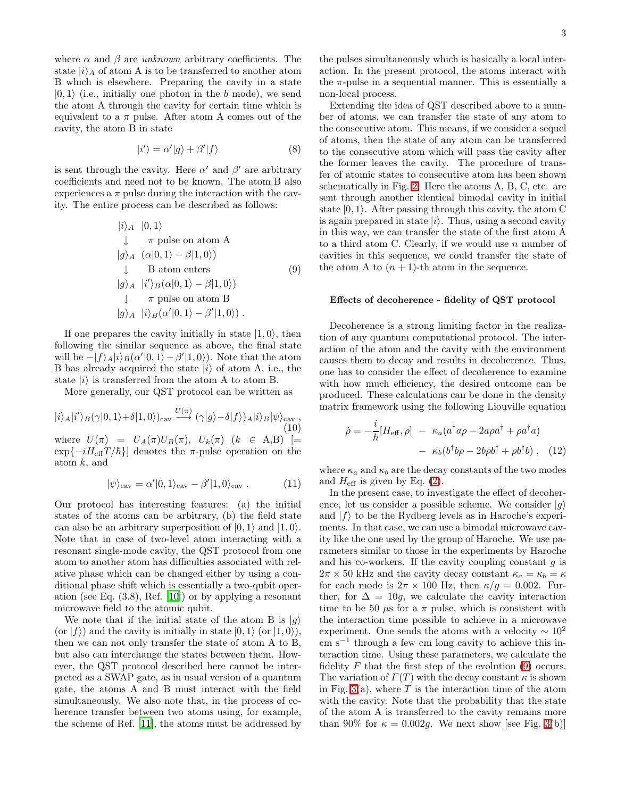where  $\alpha$  and  $\beta$  are *unknown* arbitrary coefficients. The state  $|i\rangle_A$  of atom A is to be transferred to another atom B which is elsewhere. Preparing the cavity in a state  $|0, 1\rangle$  (i.e., initially one photon in the b mode), we send the atom A through the cavity for certain time which is equivalent to a  $\pi$  pulse. After atom A comes out of the cavity, the atom B in state

<span id="page-2-1"></span>
$$
|i'\rangle = \alpha'|g\rangle + \beta'|f\rangle \tag{8}
$$

<span id="page-2-0"></span>is sent through the cavity. Here  $\alpha'$  and  $\beta'$  are arbitrary coefficients and need not to be known. The atom B also experiences a  $\pi$  pulse during the interaction with the cavity. The entire process can be described as follows:

$$
|i\rangle_A |0,1\rangle
$$
  
\n
$$
\downarrow \quad \pi \text{ pulse on atom A}
$$
  
\n
$$
|g\rangle_A (\alpha|0,1\rangle - \beta|1,0\rangle)
$$
  
\n
$$
\downarrow \quad B \text{ atom enters}
$$
  
\n
$$
|g\rangle_A |i\rangle_B(\alpha|0,1\rangle - \beta|1,0\rangle)
$$
  
\n
$$
\downarrow \quad \pi \text{ pulse on atom B}
$$
  
\n
$$
|g\rangle_A |i\rangle_B(\alpha'|0,1\rangle - \beta'|1,0\rangle).
$$
 (9)

If one prepares the cavity initially in state  $|1, 0\rangle$ , then following the similar sequence as above, the final state will be  $-|f\rangle_A|i\rangle_B(\alpha'|0,1\rangle-\beta'|1,0\rangle)$ . Note that the atom B has already acquired the state  $|i\rangle$  of atom A, i.e., the state  $|i\rangle$  is transferred from the atom A to atom B.

More generally, our QST protocol can be written as

$$
|i\rangle_A |i'\rangle_B (\gamma|0,1\rangle + \delta|1,0\rangle)_{\text{cav}} \xrightarrow{U(\pi)} (\gamma|g\rangle - \delta|f\rangle)_A |i\rangle_B |\psi\rangle_{\text{cav}} ,
$$
  
where  $U(\pi) = U_A(\pi)U_B(\pi), U_k(\pi) \ (k \in A,B) \ [=\exp\{-iH_{\text{eff}}T/\hbar\}]$  denotes the  $\pi$ -pulse operation on the

<span id="page-2-2"></span>atom k, and

$$
|\psi\rangle_{\text{cav}} = \alpha'|0, 1\rangle_{\text{cav}} - \beta'|1, 0\rangle_{\text{cav}}.
$$
 (11)

Our protocol has interesting features: (a) the initial states of the atoms can be arbitrary, (b) the field state can also be an arbitrary superposition of  $|0, 1\rangle$  and  $|1, 0\rangle$ . Note that in case of two-level atom interacting with a resonant single-mode cavity, the QST protocol from one atom to another atom has difficulties associated with relative phase which can be changed either by using a conditional phase shift which is essentially a two-qubit operation (see Eq. (3.8), Ref. [\[10\]](#page-4-9)) or by applying a resonant microwave field to the atomic qubit.

We note that if the initial state of the atom B is  $|g\rangle$ (or  $|f\rangle$ ) and the cavity is initially in state  $|0, 1\rangle$  (or  $|1, 0\rangle$ ), then we can not only transfer the state of atom A to B, but also can interchange the states between them. However, the QST protocol described here cannot be interpreted as a SWAP gate, as in usual version of a quantum gate, the atoms A and B must interact with the field simultaneously. We also note that, in the process of coherence transfer between two atoms using, for example, the scheme of Ref. [\[11\]](#page-4-10), the atoms must be addressed by

the pulses simultaneously which is basically a local interaction. In the present protocol, the atoms interact with the  $\pi$ -pulse in a sequential manner. This is essentially a non-local process.

Extending the idea of QST described above to a number of atoms, we can transfer the state of any atom to the consecutive atom. This means, if we consider a sequel of atoms, then the state of any atom can be transferred to the consecutive atom which will pass the cavity after the former leaves the cavity. The procedure of transfer of atomic states to consecutive atom has been shown schematically in Fig. [2.](#page-1-2) Here the atoms A, B, C, etc. are sent through another identical bimodal cavity in initial state  $|0, 1\rangle$ . After passing through this cavity, the atom C is again prepared in state  $|i\rangle$ . Thus, using a second cavity in this way, we can transfer the state of the first atom A to a third atom C. Clearly, if we would use  $n$  number of cavities in this sequence, we could transfer the state of the atom A to  $(n + 1)$ -th atom in the sequence.

#### Effects of decoherence - fidelity of QST protocol

Decoherence is a strong limiting factor in the realization of any quantum computational protocol. The interaction of the atom and the cavity with the environment causes them to decay and results in decoherence. Thus, one has to consider the effect of decoherence to examine with how much efficiency, the desired outcome can be produced. These calculations can be done in the density matrix framework using the following Liouville equation

$$
\dot{\rho} = -\frac{i}{\hbar} [H_{\text{eff}}, \rho] - \kappa_a (a^\dagger a \rho - 2a\rho a^\dagger + \rho a^\dagger a) \n- \kappa_b (b^\dagger b \rho - 2b\rho b^\dagger + \rho b^\dagger b) , \quad (12)
$$

where  $\kappa_a$  and  $\kappa_b$  are the decay constants of the two modes and  $H_{\text{eff}}$  is given by Eq. [\(2\)](#page-1-1).

In the present case, to investigate the effect of decoherence, let us consider a possible scheme. We consider  $|g\rangle$ and  $|f\rangle$  to be the Rydberg levels as in Haroche's experiments. In that case, we can use a bimodal microwave cavity like the one used by the group of Haroche. We use parameters similar to those in the experiments by Haroche and his co-workers. If the cavity coupling constant  $g$  is  $2\pi \times 50$  kHz and the cavity decay constant  $\kappa_a = \kappa_b = \kappa$ for each mode is  $2\pi \times 100$  Hz, then  $\kappa/g = 0.002$ . Further, for  $\Delta = 10g$ , we calculate the cavity interaction time to be 50  $\mu$ s for a  $\pi$  pulse, which is consistent with the interaction time possible to achieve in a microwave experiment. One sends the atoms with a velocity  $\sim 10^2$ cm s<sup>−</sup><sup>1</sup> through a few cm long cavity to achieve this interaction time. Using these parameters, we calculate the fidelity  $F$  that the first step of the evolution [\(9\)](#page-2-0) occurs. The variation of  $F(T)$  with the decay constant  $\kappa$  is shown in Fig.  $3(a)$ , where T is the interaction time of the atom with the cavity. Note that the probability that the state of the atom A is transferred to the cavity remains more than 90% for  $\kappa = 0.002g$ . We next show [see Fig. [3\(](#page-3-0)b)]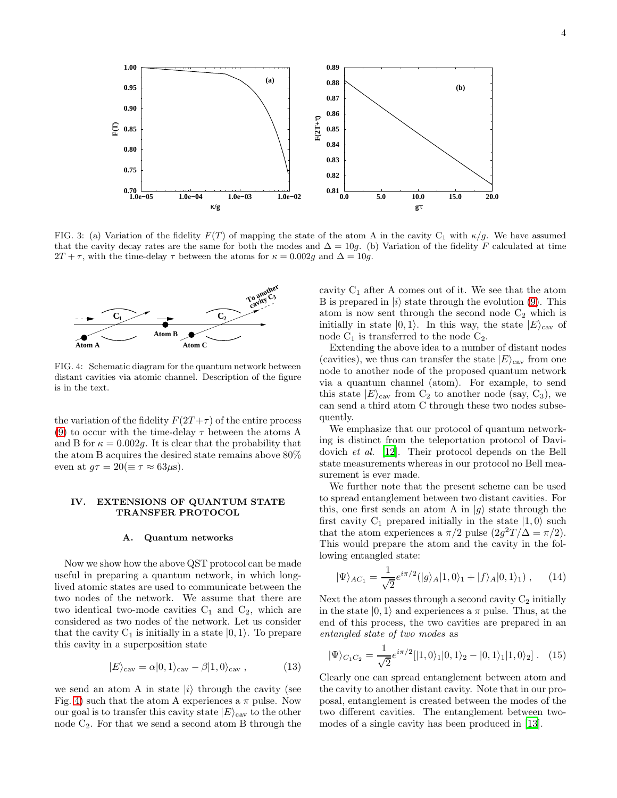

<span id="page-3-0"></span>FIG. 3: (a) Variation of the fidelity  $F(T)$  of mapping the state of the atom A in the cavity C<sub>1</sub> with  $\kappa/g$ . We have assumed that the cavity decay rates are the same for both the modes and  $\Delta = 10g$ . (b) Variation of the fidelity F calculated at time  $2T + \tau$ , with the time-delay  $\tau$  between the atoms for  $\kappa = 0.002g$  and  $\Delta = 10g$ .



<span id="page-3-1"></span>FIG. 4: Schematic diagram for the quantum network between distant cavities via atomic channel. Description of the figure is in the text.

the variation of the fidelity  $F(2T + \tau)$  of the entire process [\(9\)](#page-2-0) to occur with the time-delay  $\tau$  between the atoms A and B for  $\kappa = 0.002g$ . It is clear that the probability that the atom B acquires the desired state remains above 80% even at  $q\tau = 20 (\equiv \tau \approx 63 \mu s)$ .

### IV. EXTENSIONS OF QUANTUM STATE TRANSFER PROTOCOL

### A. Quantum networks

Now we show how the above QST protocol can be made useful in preparing a quantum network, in which longlived atomic states are used to communicate between the two nodes of the network. We assume that there are two identical two-mode cavities  $C_1$  and  $C_2$ , which are considered as two nodes of the network. Let us consider that the cavity  $C_1$  is initially in a state  $|0, 1\rangle$ . To prepare this cavity in a superposition state

<span id="page-3-2"></span>
$$
|E\rangle_{\text{cav}} = \alpha|0,1\rangle_{\text{cav}} - \beta|1,0\rangle_{\text{cav}} ,\qquad (13)
$$

we send an atom A in state  $|i\rangle$  through the cavity (see Fig. [4\)](#page-3-1) such that the atom A experiences a  $\pi$  pulse. Now our goal is to transfer this cavity state  $|E\rangle_{\text{cav}}$  to the other node  $C_2$ . For that we send a second atom B through the cavity  $C_1$  after A comes out of it. We see that the atom B is prepared in  $|i\rangle$  state through the evolution [\(9\)](#page-2-0). This atom is now sent through the second node  $C_2$  which is initially in state  $|0, 1\rangle$ . In this way, the state  $|E\rangle_{\text{cav}}$  of node  $C_1$  is transferred to the node  $C_2$ .

Extending the above idea to a number of distant nodes (cavities), we thus can transfer the state  $|E\rangle_{\text{cav}}$  from one node to another node of the proposed quantum network via a quantum channel (atom). For example, to send this state  $|E\rangle_{\text{cav}}$  from  $C_2$  to another node (say,  $C_3$ ), we can send a third atom C through these two nodes subsequently.

We emphasize that our protocol of quantum networking is distinct from the teleportation protocol of Davidovich et al. [\[12](#page-4-11)]. Their protocol depends on the Bell state measurements whereas in our protocol no Bell measurement is ever made.

We further note that the present scheme can be used to spread entanglement between two distant cavities. For this, one first sends an atom A in  $|g\rangle$  state through the first cavity  $C_1$  prepared initially in the state  $|1, 0\rangle$  such that the atom experiences a  $\pi/2$  pulse  $(2g^2T/\Delta = \pi/2)$ . This would prepare the atom and the cavity in the following entangled state:

$$
|\Psi\rangle_{AC_1} = \frac{1}{\sqrt{2}} e^{i\pi/2} (|g\rangle_A |1, 0\rangle_1 + |f\rangle_A |0, 1\rangle_1), \quad (14)
$$

Next the atom passes through a second cavity  $C_2$  initially in the state  $|0, 1\rangle$  and experiences a  $\pi$  pulse. Thus, at the end of this process, the two cavities are prepared in an entangled state of two modes as

$$
|\Psi\rangle_{C_1C_2} = \frac{1}{\sqrt{2}} e^{i\pi/2} [|1,0\rangle_1 |0,1\rangle_2 - |0,1\rangle_1 |1,0\rangle_2]. \quad (15)
$$

Clearly one can spread entanglement between atom and the cavity to another distant cavity. Note that in our proposal, entanglement is created between the modes of the two different cavities. The entanglement between twomodes of a single cavity has been produced in [\[13\]](#page-4-12).